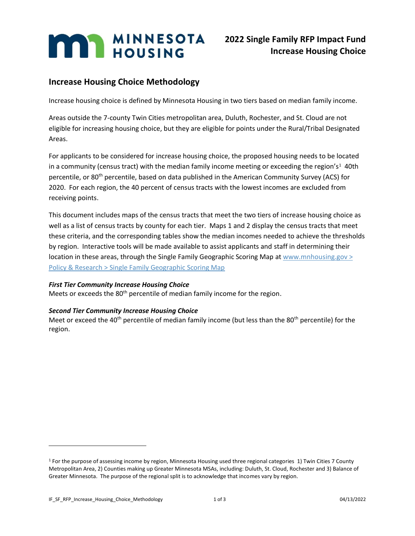# **Increase Housing Choice Methodology**

Increase housing choice is defined by Minnesota Housing in two tiers based on median family income.

Areas outside the 7-county Twin Cities metropolitan area, Duluth, Rochester, and St. Cloud are not eligible for increasing housing choice, but they are eligible for points under the Rural/Tribal Designated Areas.

For applicants to be considered for increase housing choice, the proposed housing needs to be located in a community (census tract) with the median family income meeting or exceeding the region's<sup>1</sup> 40th percentile, or 80th percentile, based on data published in the American Community Survey (ACS) for 2020. For each region, the 40 percent of census tracts with the lowest incomes are excluded from receiving points.

This document includes maps of the census tracts that meet the two tiers of increase housing choice as well as a list of census tracts by county for each tier. Maps 1 and 2 display the census tracts that meet these criteria, and the corresponding tables show the median incomes needed to achieve the thresholds by region. Interactive tools will be made available to assist applicants and staff in determining their location in these areas, through the Single Family Geographic Scoring Map at  $www.mnhousing.gov >$ [Policy & Research > Single Family Geographic Scoring Map](https://www.mnhousing.gov/sites/Satellite?c=Page&cid=1520549955388&pagename=External%2FPage%2FEXTStandardLayout)

#### *First Tier Community Increase Housing Choice*

Meets or exceeds the 80<sup>th</sup> percentile of median family income for the region.

#### *Second Tier Community Increase Housing Choice*

Meet or exceed the 40<sup>th</sup> percentile of median family income (but less than the 80<sup>th</sup> percentile) for the region.

<sup>1</sup> For the purpose of assessing income by region, Minnesota Housing used three regional categories 1) Twin Cities 7 County Metropolitan Area, 2) Counties making up Greater Minnesota MSAs, including: Duluth, St. Cloud, Rochester and 3) Balance of Greater Minnesota. The purpose of the regional split is to acknowledge that incomes vary by region.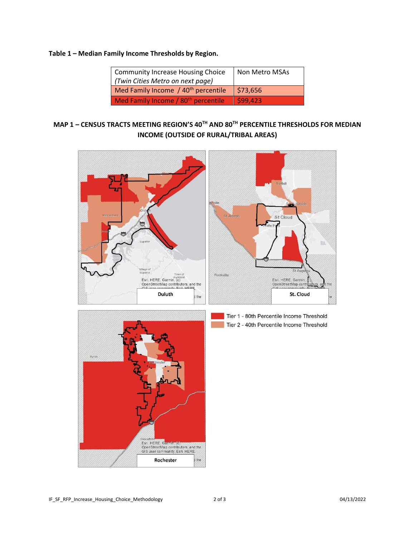### **Table 1 – Median Family Income Thresholds by Region.**

| Community Increase Housing Choice               | Non Metro MSAs |
|-------------------------------------------------|----------------|
| (Twin Cities Metro on next page)                |                |
| Med Family Income / 40 <sup>th</sup> percentile | \$73,656       |
| Med Family Income / 80 <sup>th</sup> percentile | \$99.423       |

# **MAP 1 – CENSUS TRACTS MEETING REGION'S 40TH AND 80TH PERCENTILE THRESHOLDS FOR MEDIAN INCOME (OUTSIDE OF RURAL/TRIBAL AREAS)**





Tier 1 - 80th Percentile Income Threshold Tier 2 - 40th Percentile Income Threshold